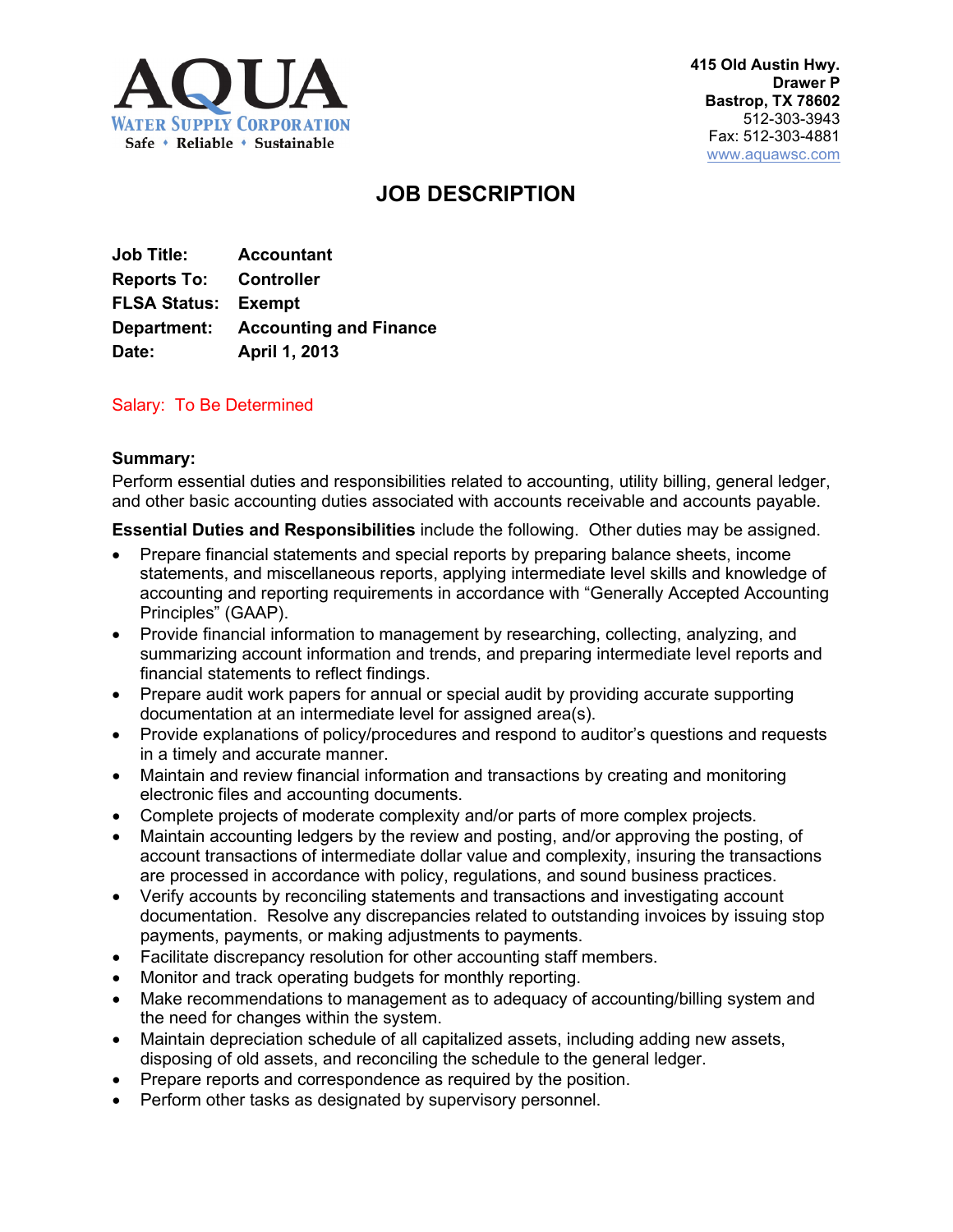

# **JOB DESCRIPTION**

| <b>Job Title:</b>             | <b>Accountant</b>                         |
|-------------------------------|-------------------------------------------|
| <b>Reports To: Controller</b> |                                           |
| <b>FLSA Status: Exempt</b>    |                                           |
|                               | <b>Department:</b> Accounting and Finance |
| Date:                         | April 1, 2013                             |

## Salary: To Be Determined

## **Summary:**

Perform essential duties and responsibilities related to accounting, utility billing, general ledger, and other basic accounting duties associated with accounts receivable and accounts payable.

**Essential Duties and Responsibilities** include the following. Other duties may be assigned.

- Prepare financial statements and special reports by preparing balance sheets, income statements, and miscellaneous reports, applying intermediate level skills and knowledge of accounting and reporting requirements in accordance with "Generally Accepted Accounting Principles" (GAAP).
- Provide financial information to management by researching, collecting, analyzing, and summarizing account information and trends, and preparing intermediate level reports and financial statements to reflect findings.
- Prepare audit work papers for annual or special audit by providing accurate supporting documentation at an intermediate level for assigned area(s).
- Provide explanations of policy/procedures and respond to auditor's questions and requests in a timely and accurate manner.
- Maintain and review financial information and transactions by creating and monitoring electronic files and accounting documents.
- Complete projects of moderate complexity and/or parts of more complex projects.
- Maintain accounting ledgers by the review and posting, and/or approving the posting, of account transactions of intermediate dollar value and complexity, insuring the transactions are processed in accordance with policy, regulations, and sound business practices.
- Verify accounts by reconciling statements and transactions and investigating account documentation. Resolve any discrepancies related to outstanding invoices by issuing stop payments, payments, or making adjustments to payments.
- Facilitate discrepancy resolution for other accounting staff members.
- Monitor and track operating budgets for monthly reporting.
- Make recommendations to management as to adequacy of accounting/billing system and the need for changes within the system.
- Maintain depreciation schedule of all capitalized assets, including adding new assets, disposing of old assets, and reconciling the schedule to the general ledger.
- Prepare reports and correspondence as required by the position.
- Perform other tasks as designated by supervisory personnel.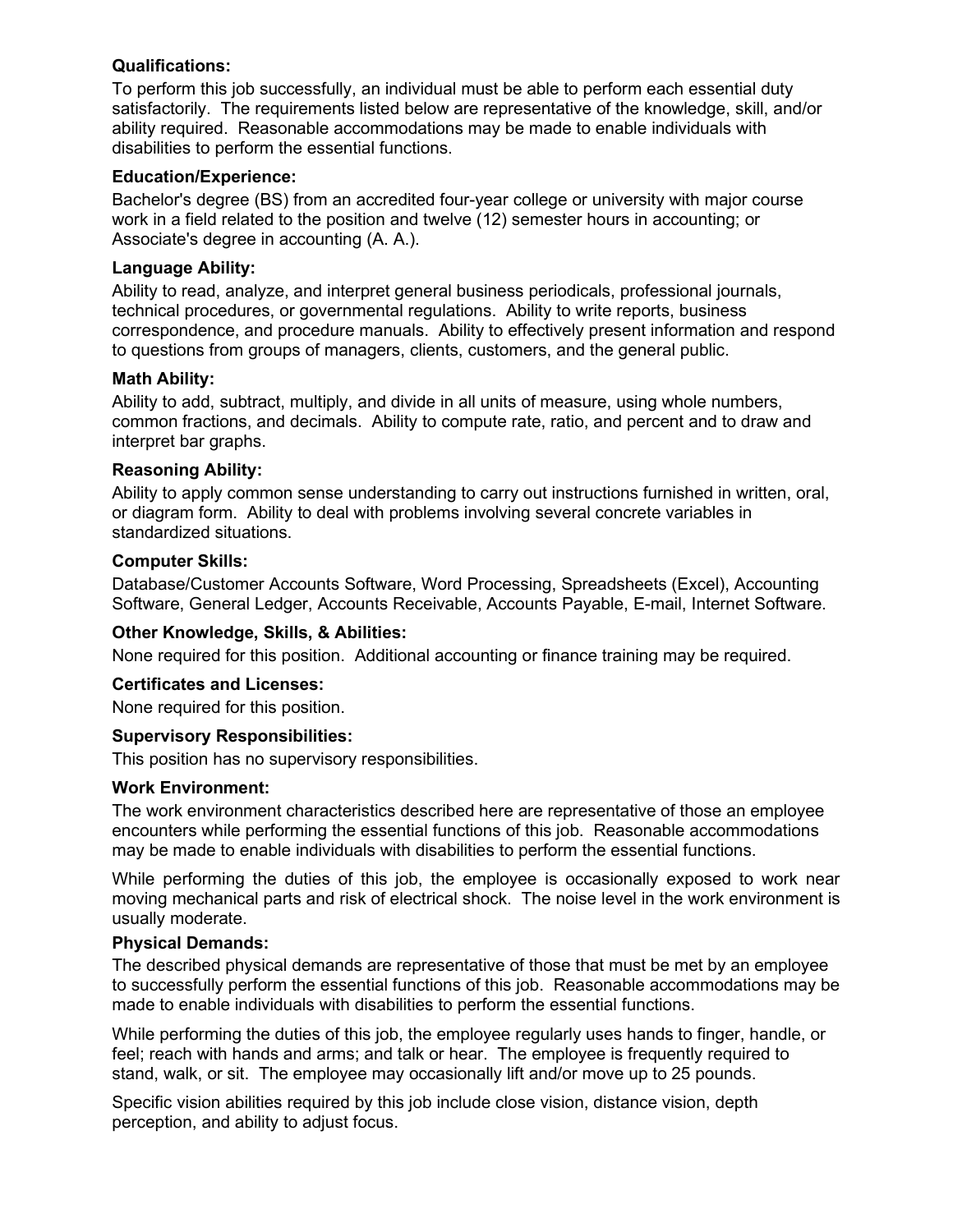## **Qualifications:**

To perform this job successfully, an individual must be able to perform each essential duty satisfactorily. The requirements listed below are representative of the knowledge, skill, and/or ability required. Reasonable accommodations may be made to enable individuals with disabilities to perform the essential functions.

## **Education/Experience:**

Bachelor's degree (BS) from an accredited four-year college or university with major course work in a field related to the position and twelve (12) semester hours in accounting; or Associate's degree in accounting (A. A.).

## **Language Ability:**

Ability to read, analyze, and interpret general business periodicals, professional journals, technical procedures, or governmental regulations. Ability to write reports, business correspondence, and procedure manuals. Ability to effectively present information and respond to questions from groups of managers, clients, customers, and the general public.

## **Math Ability:**

Ability to add, subtract, multiply, and divide in all units of measure, using whole numbers, common fractions, and decimals. Ability to compute rate, ratio, and percent and to draw and interpret bar graphs.

## **Reasoning Ability:**

Ability to apply common sense understanding to carry out instructions furnished in written, oral, or diagram form. Ability to deal with problems involving several concrete variables in standardized situations.

## **Computer Skills:**

Database/Customer Accounts Software, Word Processing, Spreadsheets (Excel), Accounting Software, General Ledger, Accounts Receivable, Accounts Payable, E-mail, Internet Software.

## **Other Knowledge, Skills, & Abilities:**

None required for this position. Additional accounting or finance training may be required.

## **Certificates and Licenses:**

None required for this position.

## **Supervisory Responsibilities:**

This position has no supervisory responsibilities.

## **Work Environment:**

The work environment characteristics described here are representative of those an employee encounters while performing the essential functions of this job. Reasonable accommodations may be made to enable individuals with disabilities to perform the essential functions.

While performing the duties of this job, the employee is occasionally exposed to work near moving mechanical parts and risk of electrical shock. The noise level in the work environment is usually moderate.

## **Physical Demands:**

The described physical demands are representative of those that must be met by an employee to successfully perform the essential functions of this job. Reasonable accommodations may be made to enable individuals with disabilities to perform the essential functions.

While performing the duties of this job, the employee regularly uses hands to finger, handle, or feel; reach with hands and arms; and talk or hear. The employee is frequently required to stand, walk, or sit. The employee may occasionally lift and/or move up to 25 pounds.

Specific vision abilities required by this job include close vision, distance vision, depth perception, and ability to adjust focus.